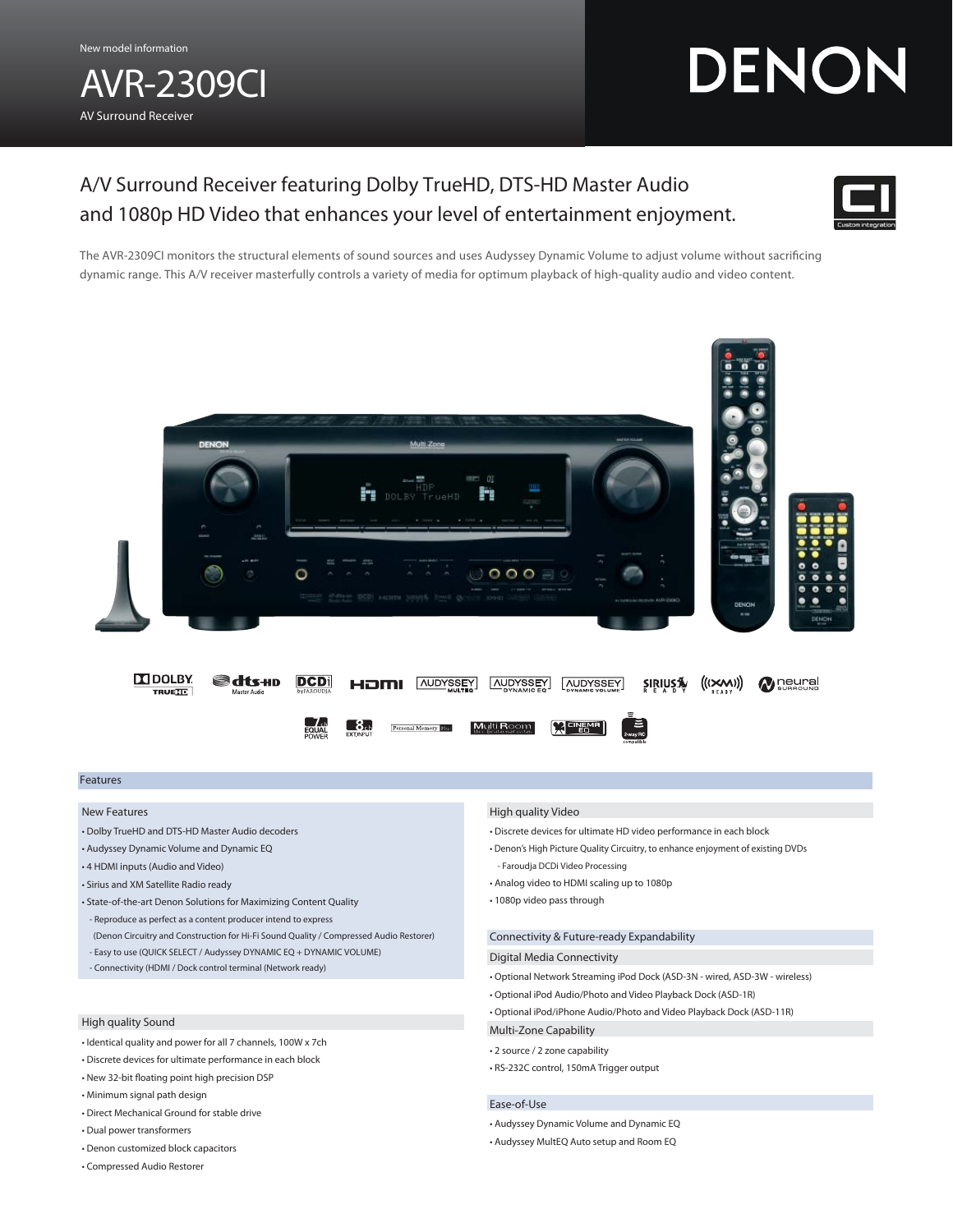AVR-2309CI AV Surround Receiver

# DENON

# A/V Surround Receiver featuring Dolby TrueHD, DTS-HD Master Audio and 1080p HD Video that enhances your level of entertainment enjoyment.



The AVR-2309CI monitors the structural elements of sound sources and uses Audyssey Dynamic Volume to adjust volume without sacrificing dynamic range. This A/V receiver masterfully controls a variety of media for optimum playback of high-quality audio and video content.



# Features

#### New Features

- Dolby TrueHD and DTS-HD Master Audio decoders
- Audyssey Dynamic Volume and Dynamic EQ
- 4 HDMI inputs (Audio and Video)
- Sirius and XM Satellite Radio ready
- State-of-the-art Denon Solutions for Maximizing Content Quality
- Reproduce as perfect as a content producer intend to express (Denon Circuitry and Construction for Hi-Fi Sound Quality / Compressed Audio Restorer)
- Easy to use (QUICK SELECT / Audyssey DYNAMIC EQ + DYNAMIC VOLUME)
- Connectivity (HDMI / Dock control terminal (Network ready)

# High quality Sound

- Identical quality and power for all 7 channels, 100W x 7ch
- Discrete devices for ultimate performance in each block
- New 32-bit floating point high precision DSP
- Minimum signal path design
- Direct Mechanical Ground for stable drive
- Dual power transformers
- Denon customized block capacitors
- Compressed Audio Restorer

### High quality Video

- Discrete devices for ultimate HD video performance in each block
- Denon's High Picture Quality Circuitry, to enhance enjoyment of existing DVDs - Faroudja DCDi Video Processing
- Analog video to HDMI scaling up to 1080p
- 1080p video pass through

# Connectivity & Future-ready Expandability

## Digital Media Connectivity

- Optional Network Streaming iPod Dock (ASD-3N wired, ASD-3W wireless)
- Optional iPod Audio/Photo and Video Playback Dock (ASD-1R)
- Optional iPod/iPhone Audio/Photo and Video Playback Dock (ASD-11R)
- Multi-Zone Capability
- 2 source / 2 zone capability
- RS-232C control, 150mA Trigger output

#### Ease-of-Use

- Audyssey Dynamic Volume and Dynamic EQ
- Audyssey MultEQ Auto setup and Room EQ